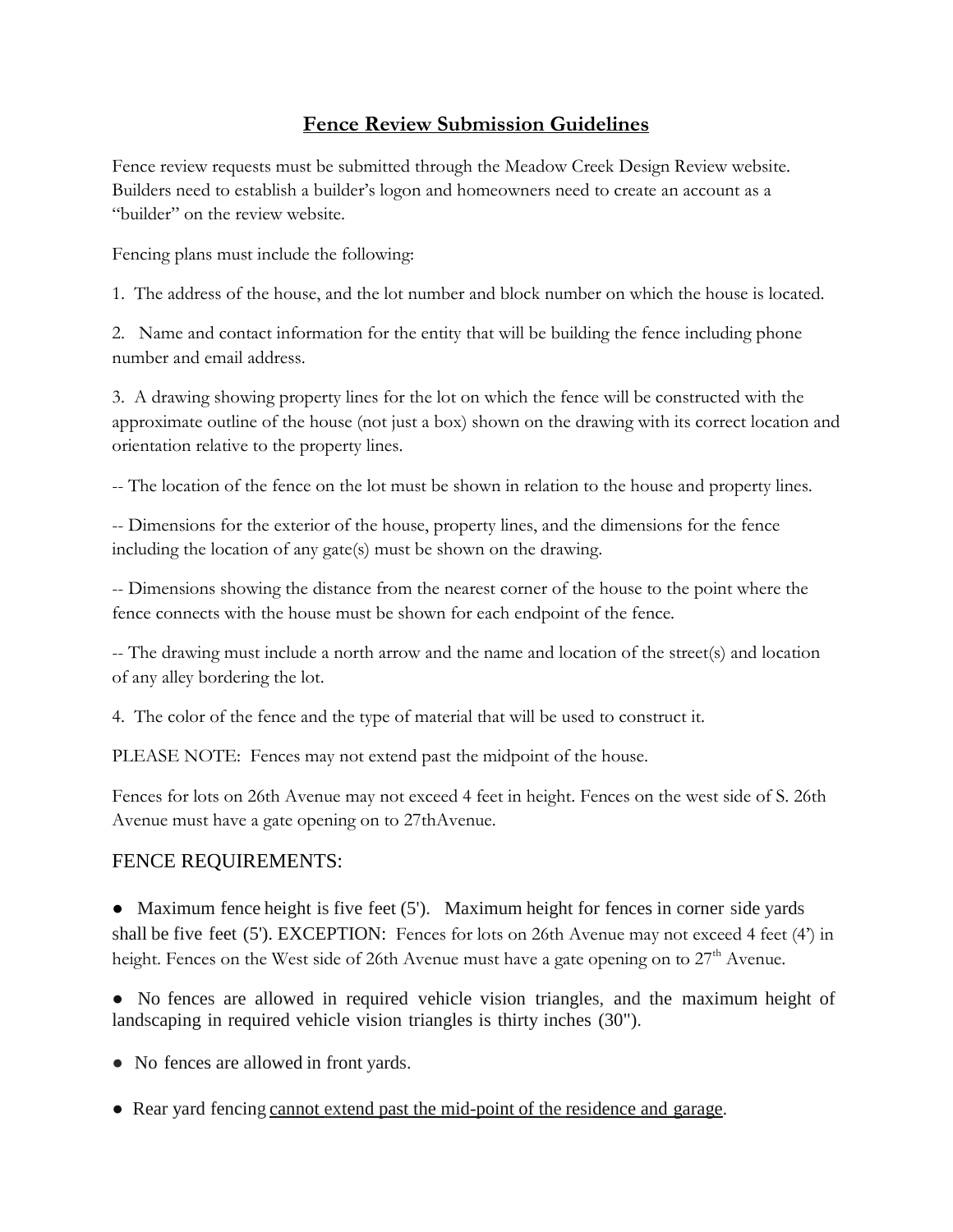## **Fence Review Submission Guidelines**

Fence review requests must be submitted through the Meadow Creek Design Review website. Builders need to establish a builder's logon and homeowners need to create an account as a "builder" on the review website.

Fencing plans must include the following:

1. The address of the house, and the lot number and block number on which the house is located.

2. Name and contact information for the entity that will be building the fence including phone number and email address.

3. A drawing showing property lines for the lot on which the fence will be constructed with the approximate outline of the house (not just a box) shown on the drawing with its correct location and orientation relative to the property lines.

-- The location of the fence on the lot must be shown in relation to the house and property lines.

-- Dimensions for the exterior of the house, property lines, and the dimensions for the fence including the location of any gate(s) must be shown on the drawing.

-- Dimensions showing the distance from the nearest corner of the house to the point where the fence connects with the house must be shown for each endpoint of the fence.

-- The drawing must include a north arrow and the name and location of the street(s) and location of any alley bordering the lot.

4. The color of the fence and the type of material that will be used to construct it.

PLEASE NOTE: Fences may not extend past the midpoint of the house.

Fences for lots on 26th Avenue may not exceed 4 feet in height. Fences on the west side of S. 26th Avenue must have a gate opening on to 27thAvenue.

## FENCE REQUIREMENTS:

 $\bullet$  Maximum fence height is five feet (5'). Maximum height for fences in corner side yards shall be five feet (5'). EXCEPTION: Fences for lots on 26th Avenue may not exceed 4 feet (4') in height. Fences on the West side of 26th Avenue must have a gate opening on to 27<sup>th</sup> Avenue.

• No fences are allowed in required vehicle vision triangles, and the maximum height of landscaping in required vehicle vision triangles is thirty inches (30").

• No fences are allowed in front yards.

● Rear yard fencing cannot extend past the mid-point of the residence and garage.